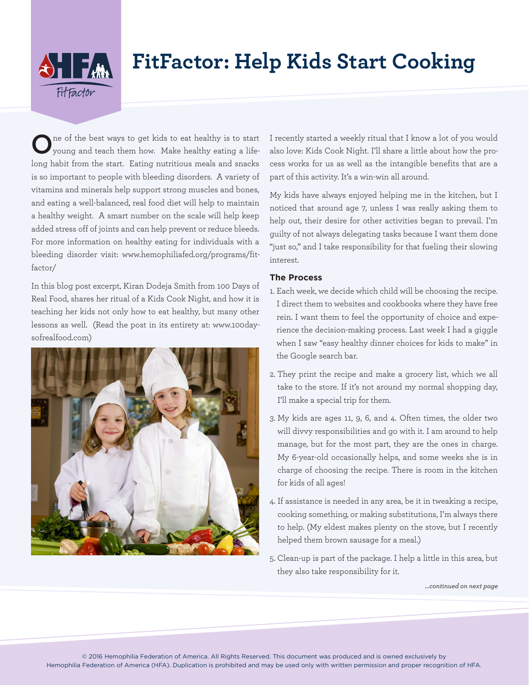

# **FitFactor: Help Kids Start Cooking**

**O**ne of the best ways to get kids to eat healthy is to start young and teach them how. Make healthy eating a lifelong habit from the start. Eating nutritious meals and snacks is so important to people with bleeding disorders. A variety of vitamins and minerals help support strong muscles and bones, and eating a well-balanced, real food diet will help to maintain a healthy weight. A smart number on the scale will help keep added stress off of joints and can help prevent or reduce bleeds. For more information on healthy eating for individuals with a bleeding disorder visit: www.hemophiliafed.org/programs/fitfactor/

In this blog post excerpt, Kiran Dodeja Smith from 100 Days of Real Food, shares her ritual of a Kids Cook Night, and how it is teaching her kids not only how to eat healthy, but many other lessons as well. (Read the post in its entirety at: www.100daysofrealfood.com)



I recently started a weekly ritual that I know a lot of you would also love: Kids Cook Night. I'll share a little about how the process works for us as well as the intangible benefits that are a part of this activity. It's a win-win all around.

My kids have always enjoyed helping me in the kitchen, but I noticed that around age 7, unless I was really asking them to help out, their desire for other activities began to prevail. I'm guilty of not always delegating tasks because I want them done "just so," and I take responsibility for that fueling their slowing interest.

## **The Process**

- 1. Each week, we decide which child will be choosing the recipe. I direct them to websites and cookbooks where they have free rein. I want them to feel the opportunity of choice and experience the decision-making process. Last week I had a giggle when I saw "easy healthy dinner choices for kids to make" in the Google search bar.
- 2. They print the recipe and make a grocery list, which we all take to the store. If it's not around my normal shopping day, I'll make a special trip for them.
- 3. My kids are ages 11, 9, 6, and 4. Often times, the older two will divvy responsibilities and go with it. I am around to help manage, but for the most part, they are the ones in charge. My 6-year-old occasionally helps, and some weeks she is in charge of choosing the recipe. There is room in the kitchen for kids of all ages!
- 4. If assistance is needed in any area, be it in tweaking a recipe, cooking something, or making substitutions, I'm always there to help. (My eldest makes plenty on the stove, but I recently helped them brown sausage for a meal.)
- 5. Clean-up is part of the package. I help a little in this area, but they also take responsibility for it.

*…continued on next page*